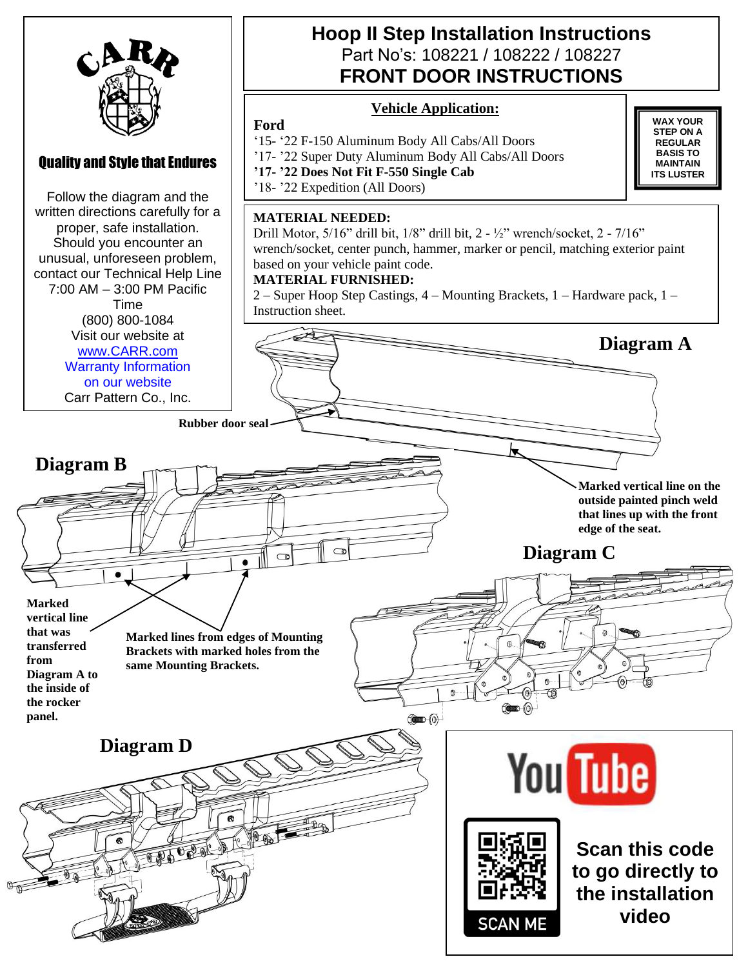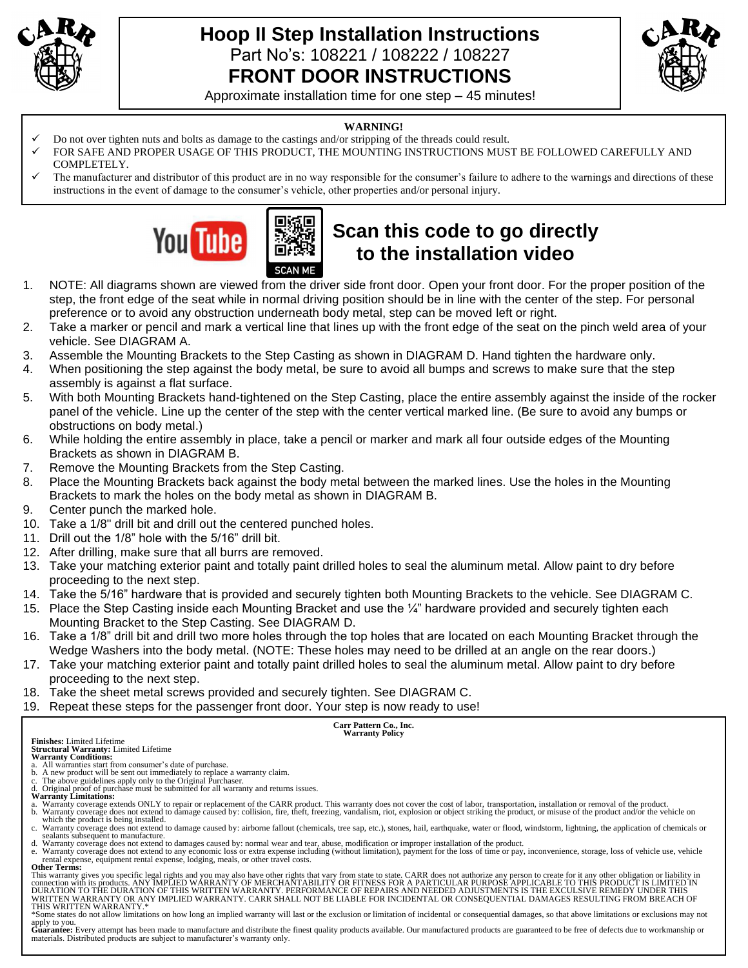

### **Hoop II Step Installation Instructions**  Part No's: 108221 / 108222 / 108227 **FRONT DOOR INSTRUCTIONS**



Approximate installation time for one step – 45 minutes!

#### **WARNING!**

Do not over tighten nuts and bolts as damage to the castings and/or stripping of the threads could result.

**SCAN MF** 

- FOR SAFE AND PROPER USAGE OF THIS PRODUCT, THE MOUNTING INSTRUCTIONS MUST BE FOLLOWED CAREFULLY AND COMPLETELY.
- The manufacturer and distributor of this product are in no way responsible for the consumer's failure to adhere to the warnings and directions of these instructions in the event of damage to the consumer's vehicle, other properties and/or personal injury.



# **Scan this code to go directly to the installation video**

- 1. NOTE: All diagrams shown are viewed from the driver side front door. Open your front door. For the proper position of the step, the front edge of the seat while in normal driving position should be in line with the center of the step. For personal preference or to avoid any obstruction underneath body metal, step can be moved left or right.
- 2. Take a marker or pencil and mark a vertical line that lines up with the front edge of the seat on the pinch weld area of your vehicle. See DIAGRAM A.
- 3. Assemble the Mounting Brackets to the Step Casting as shown in DIAGRAM D. Hand tighten the hardware only.
- 4. When positioning the step against the body metal, be sure to avoid all bumps and screws to make sure that the step assembly is against a flat surface.
- 5. With both Mounting Brackets hand-tightened on the Step Casting, place the entire assembly against the inside of the rocker panel of the vehicle. Line up the center of the step with the center vertical marked line. (Be sure to avoid any bumps or obstructions on body metal.)
- 6. While holding the entire assembly in place, take a pencil or marker and mark all four outside edges of the Mounting Brackets as shown in DIAGRAM B.
- 7. Remove the Mounting Brackets from the Step Casting.
- 8. Place the Mounting Brackets back against the body metal between the marked lines. Use the holes in the Mounting Brackets to mark the holes on the body metal as shown in DIAGRAM B.
- 9. Center punch the marked hole.
- 10. Take a 1/8" drill bit and drill out the centered punched holes.
- 11. Drill out the 1/8" hole with the 5/16" drill bit.
- 12. After drilling, make sure that all burrs are removed.
- 13. Take your matching exterior paint and totally paint drilled holes to seal the aluminum metal. Allow paint to dry before proceeding to the next step.
- 14. Take the 5/16" hardware that is provided and securely tighten both Mounting Brackets to the vehicle. See DIAGRAM C.
- 15. Place the Step Casting inside each Mounting Bracket and use the ¼" hardware provided and securely tighten each Mounting Bracket to the Step Casting. See DIAGRAM D.
- 16. Take a 1/8" drill bit and drill two more holes through the top holes that are located on each Mounting Bracket through the Wedge Washers into the body metal. (NOTE: These holes may need to be drilled at an angle on the rear doors.)
- 17. Take your matching exterior paint and totally paint drilled holes to seal the aluminum metal. Allow paint to dry before proceeding to the next step.
- 18. Take the sheet metal screws provided and securely tighten. See DIAGRAM C.
- 19. Repeat these steps for the passenger front door. Your step is now ready to use!

## **Carr Pattern Co., Inc. Warranty Policy**

**Finishes:** Limited Lifetime **Structural Warranty:** Limited Lifetime

- **Warranty Conditions:**
- 
- 
- 
- 
- a. All warranties start from consumer's date of purchase.<br>b. A new product will be sent out immediately to replace a warranty claim.<br>C. The above guidelines apply only to the Original Purchaser.<br>Warranty Limitations:<br>A Ori b. Warranty coverage does not extend to damage caused by: collision, fire, theft, freezing, vandalism, riot, explosion or object striking the product, or misuse of the product and/or the vehicle on
- which the product is being installed.<br>c. Warranty coverage does not extend to damage caused by: airborne fallout (chemicals, tree sap, etc.), stones, hail, earthquake, water or flood, windstorm, lightning, the application
- sealants subsequent to manufacture. d. Warranty coverage does not extend to damages caused by: normal wear and tear, abuse, modification or improper installation of the product.
- e. Warranty coverage does not extend to any economic loss or extra expense including (without limitation), payment for the loss of time or pay, inconvenience, storage, loss of vehicle use, vehicle rental expense, equipment rental expense, lodging, meals, or other travel costs. **Other Terms:**

This warranty gives you specific legal rights and you may also have other rights that vary from state to state. CARR does not authorize any person to create for it any other obligation or liability in<br>connection with its p THIS WRITTEN WARRANTY.\*

\*Some states do not allow limitations on how long an implied warranty will last or the exclusion or limitation of incidental or consequential damages, so that above limitations or exclusions may not

apply to you.<br>**Guarantee:** Every attempt has been made to manufacture and distribute the finest quality products available. Our manufactured products are guaranteed to be free of defects due to workmanship or materials. Distributed products are subject to manufacturer's warranty only.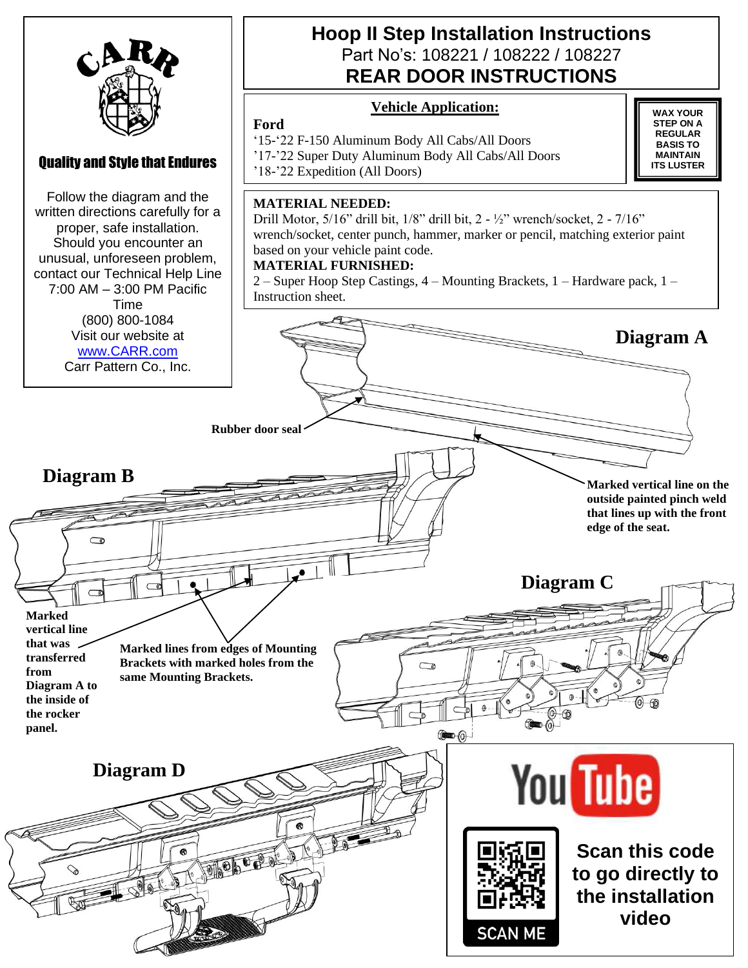